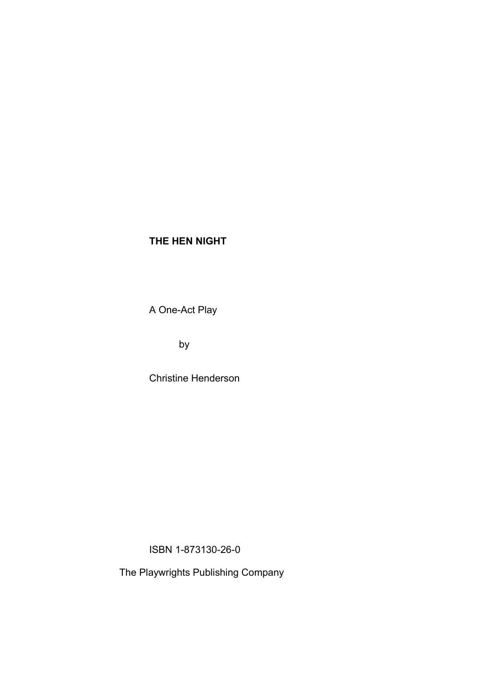A One-Act Play

by

Christine Henderson

ISBN 1-873130-26-0

The Playwrights Publishing Company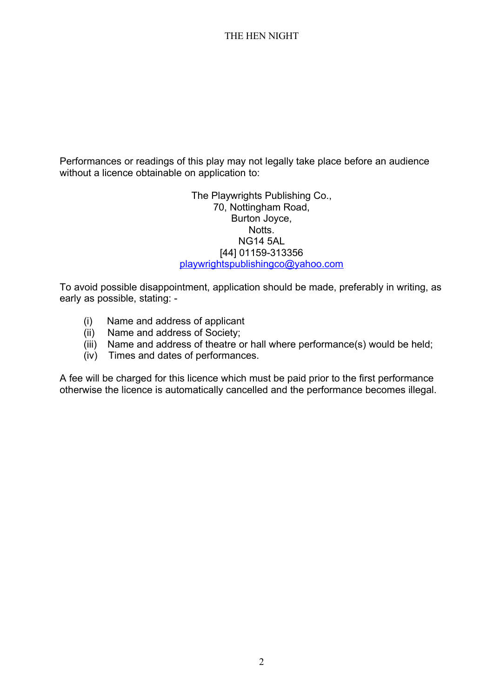Performances or readings of this play may not legally take place before an audience without a licence obtainable on application to:

> The Playwrights Publishing Co., 70, Nottingham Road, Burton Joyce, Notts. NG14 5AL [44] 01159-313356 [playwrightspublishingco@yahoo.com](mailto:playwrightspublishingco@yahoo.com)

To avoid possible disappointment, application should be made, preferably in writing, as early as possible, stating: -

- (i) Name and address of applicant
- (ii) Name and address of Society;
- (iii) Name and address of theatre or hall where performance(s) would be held;
- (iv) Times and dates of performances.

A fee will be charged for this licence which must be paid prior to the first performance otherwise the licence is automatically cancelled and the performance becomes illegal.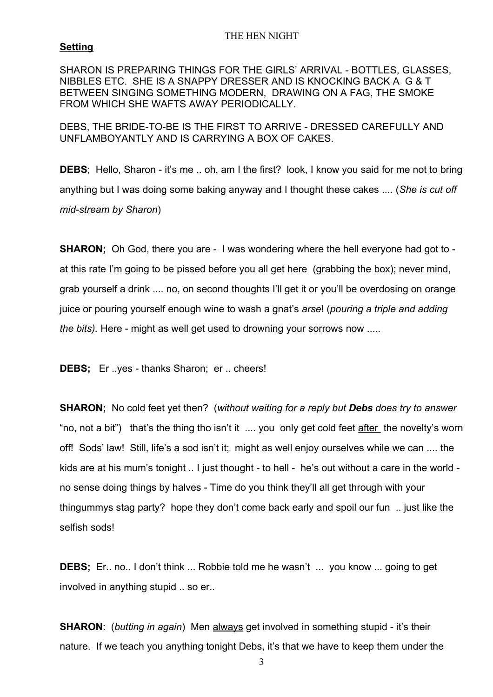## **Setting**

SHARON IS PREPARING THINGS FOR THE GIRLS' ARRIVAL - BOTTLES, GLASSES, NIBBLES ETC. SHE IS A SNAPPY DRESSER AND IS KNOCKING BACK A G & T BETWEEN SINGING SOMETHING MODERN, DRAWING ON A FAG, THE SMOKE FROM WHICH SHE WAFTS AWAY PERIODICALLY.

DEBS, THE BRIDE-TO-BE IS THE FIRST TO ARRIVE - DRESSED CAREFULLY AND UNFLAMBOYANTLY AND IS CARRYING A BOX OF CAKES.

**DEBS**; Hello, Sharon - it's me .. oh, am I the first? look, I know you said for me not to bring anything but I was doing some baking anyway and I thought these cakes .... (*She is cut off mid-stream by Sharon*)

**SHARON:** Oh God, there you are - I was wondering where the hell everyone had got to at this rate I'm going to be pissed before you all get here (grabbing the box); never mind, grab yourself a drink .... no, on second thoughts I'll get it or you'll be overdosing on orange juice or pouring yourself enough wine to wash a gnat's *arse*! (*pouring a triple and adding the bits).* Here - might as well get used to drowning your sorrows now .....

**DEBS;** Er ..yes - thanks Sharon; er .. cheers!

**SHARON;** No cold feet yet then? (*without waiting for a reply but Debs does try to answer* "no, not a bit") that's the thing tho isn't it .... you only get cold feet after the novelty's worn off! Sods' law! Still, life's a sod isn't it; might as well enjoy ourselves while we can .... the kids are at his mum's tonight .. I just thought - to hell - he's out without a care in the world no sense doing things by halves - Time do you think they'll all get through with your thingummys stag party? hope they don't come back early and spoil our fun .. just like the selfish sods!

**DEBS:** Er.. no.. I don't think ... Robbie told me he wasn't ... you know ... going to get involved in anything stupid .. so er..

**SHARON**: (*butting in again*) Men always get involved in something stupid - it's their nature. If we teach you anything tonight Debs, it's that we have to keep them under the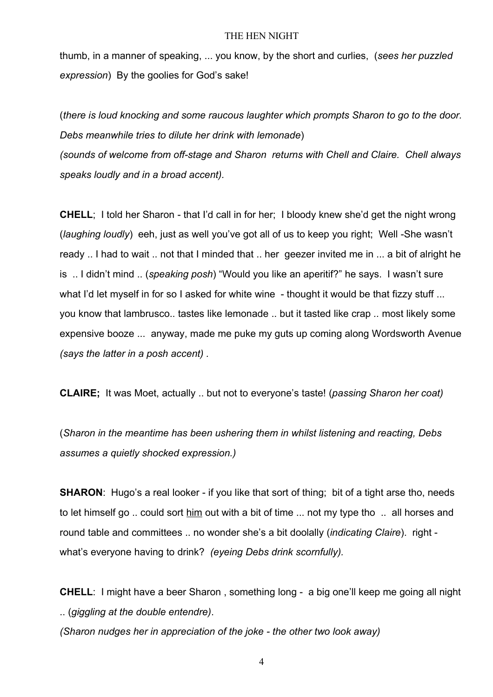thumb, in a manner of speaking, ... you know, by the short and curlies, (*sees her puzzled expression*) By the goolies for God's sake!

(*there is loud knocking and some raucous laughter which prompts Sharon to go to the door. Debs meanwhile tries to dilute her drink with lemonade*) *(sounds of welcome from off-stage and Sharon returns with Chell and Claire. Chell always*

*speaks loudly and in a broad accent).*

**CHELL**; I told her Sharon - that I'd call in for her; I bloody knew she'd get the night wrong (*laughing loudly*) eeh, just as well you've got all of us to keep you right; Well -She wasn't ready .. I had to wait .. not that I minded that .. her geezer invited me in ... a bit of alright he is .. I didn't mind .. (*speaking posh*) "Would you like an aperitif?" he says. I wasn't sure what I'd let myself in for so I asked for white wine - thought it would be that fizzy stuff ... you know that lambrusco.. tastes like lemonade .. but it tasted like crap *..* most likely some expensive booze ... anyway, made me puke my guts up coming along Wordsworth Avenue *(says the latter in a posh accent) .*

**CLAIRE;** It was Moet, actually .. but not to everyone's taste! (*passing Sharon her coat)*

(*Sharon in the meantime has been ushering them in whilst listening and reacting, Debs assumes a quietly shocked expression.)*

**SHARON:** Hugo's a real looker - if you like that sort of thing; bit of a tight arse tho, needs to let himself go .. could sort him out with a bit of time ... not my type tho .. all horses and round table and committees .. no wonder she's a bit doolally (*indicating Claire*). right what's everyone having to drink? *(eyeing Debs drink scornfully).*

**CHELL**: I might have a beer Sharon , something long - a big one'll keep me going all night .. (*giggling at the double entendre)*.

*(Sharon nudges her in appreciation of the joke - the other two look away)*

4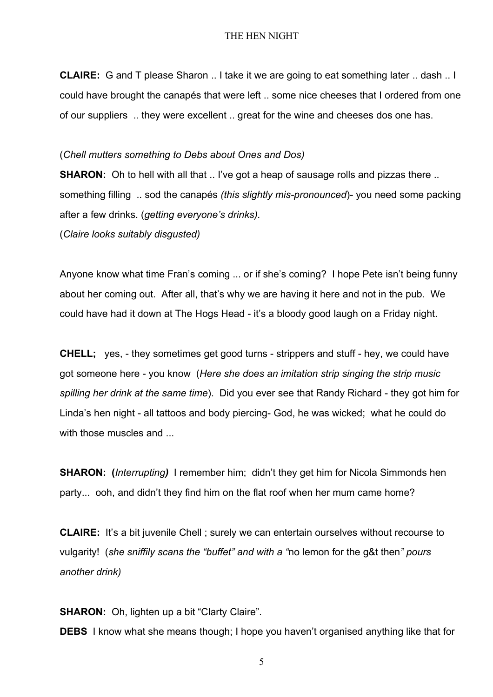**CLAIRE:** G and T please Sharon .. I take it we are going to eat something later .. dash .. I could have brought the canapés that were left .. some nice cheeses that I ordered from one of our suppliers .. they were excellent .. great for the wine and cheeses dos one has.

### (*Chell mutters something to Debs about Ones and Dos)*

**SHARON:** Oh to hell with all that .. I've got a heap of sausage rolls and pizzas there .. something filling .. sod the canapés *(this slightly mis-pronounced*)- you need some packing after a few drinks. (*getting everyone's drinks).*

(*Claire looks suitably disgusted)*

Anyone know what time Fran's coming ... or if she's coming? I hope Pete isn't being funny about her coming out. After all, that's why we are having it here and not in the pub. We could have had it down at The Hogs Head - it's a bloody good laugh on a Friday night.

**CHELL;** yes, - they sometimes get good turns - strippers and stuff - hey, we could have got someone here - you know (*Here she does an imitation strip singing the strip music spilling her drink at the same time*). Did you ever see that Randy Richard - they got him for Linda's hen night - all tattoos and body piercing- God, he was wicked; what he could do with those muscles and ...

**SHARON: (***Interrupting)* I remember him; didn't they get him for Nicola Simmonds hen party... ooh, and didn't they find him on the flat roof when her mum came home?

**CLAIRE:** It's a bit juvenile Chell; surely we can entertain ourselves without recourse to vulgarity! (*she sniffily scans the "buffet" and with a "*no lemon for the g&t then*" pours another drink)*

**SHARON:** Oh, lighten up a bit "Clarty Claire".

**DEBS** I know what she means though; I hope you haven't organised anything like that for

5